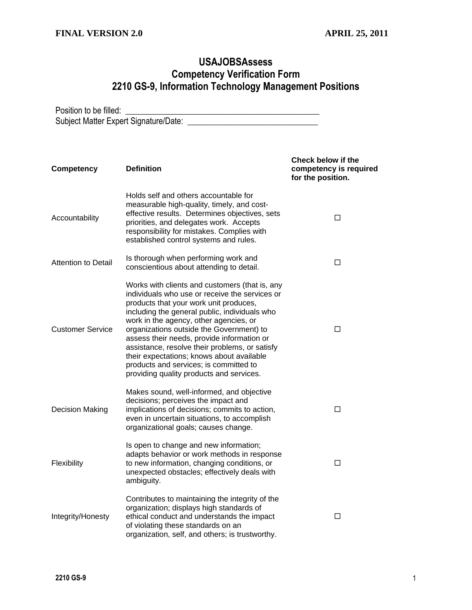## **USAJOBSAssess Competency Verification Form 2210 GS-9, Information Technology Management Positions**

Position to be filled: \_\_\_\_\_\_\_\_\_\_\_\_\_\_\_\_\_\_\_\_\_\_\_\_\_\_\_\_\_\_\_\_\_\_\_\_\_\_\_\_\_\_\_\_\_\_ Subject Matter Expert Signature/Date: \_\_\_\_\_\_\_\_\_\_\_\_\_\_\_\_\_\_\_\_\_\_\_\_\_\_\_\_\_\_\_

| <b>Competency</b>          | <b>Definition</b>                                                                                                                                                                                                                                                                                                                                                                                                                                                                                                    | Check below if the<br>competency is required<br>for the position. |
|----------------------------|----------------------------------------------------------------------------------------------------------------------------------------------------------------------------------------------------------------------------------------------------------------------------------------------------------------------------------------------------------------------------------------------------------------------------------------------------------------------------------------------------------------------|-------------------------------------------------------------------|
| Accountability             | Holds self and others accountable for<br>measurable high-quality, timely, and cost-<br>effective results. Determines objectives, sets<br>priorities, and delegates work. Accepts<br>responsibility for mistakes. Complies with<br>established control systems and rules.                                                                                                                                                                                                                                             | □                                                                 |
| <b>Attention to Detail</b> | Is thorough when performing work and<br>conscientious about attending to detail.                                                                                                                                                                                                                                                                                                                                                                                                                                     | □                                                                 |
| <b>Customer Service</b>    | Works with clients and customers (that is, any<br>individuals who use or receive the services or<br>products that your work unit produces,<br>including the general public, individuals who<br>work in the agency, other agencies, or<br>organizations outside the Government) to<br>assess their needs, provide information or<br>assistance, resolve their problems, or satisfy<br>their expectations; knows about available<br>products and services; is committed to<br>providing quality products and services. | □                                                                 |
| <b>Decision Making</b>     | Makes sound, well-informed, and objective<br>decisions; perceives the impact and<br>implications of decisions; commits to action,<br>even in uncertain situations, to accomplish<br>organizational goals; causes change.                                                                                                                                                                                                                                                                                             | □                                                                 |
| Flexibility                | Is open to change and new information;<br>adapts behavior or work methods in response<br>to new information, changing conditions, or<br>unexpected obstacles; effectively deals with<br>ambiguity.                                                                                                                                                                                                                                                                                                                   | □                                                                 |
| Integrity/Honesty          | Contributes to maintaining the integrity of the<br>organization; displays high standards of<br>ethical conduct and understands the impact<br>of violating these standards on an<br>organization, self, and others; is trustworthy.                                                                                                                                                                                                                                                                                   | □                                                                 |